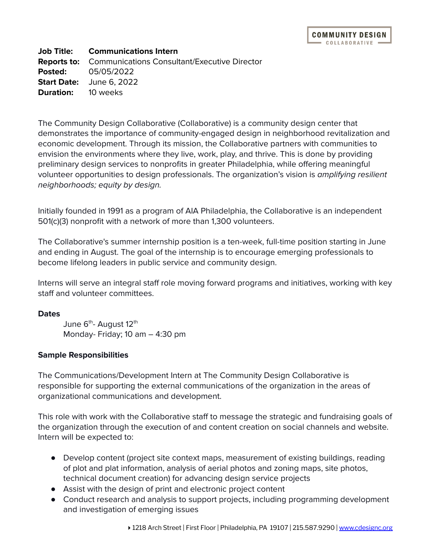**Job Title: Communications Intern Reports to:** Communications Consultant/Executive Director **Posted:** 05/05/2022 **Start Date:** June 6, 2022 **Duration:** 10 weeks

The Community Design Collaborative (Collaborative) is a community design center that demonstrates the importance of community-engaged design in neighborhood revitalization and economic development. Through its mission, the Collaborative partners with communities to envision the environments where they live, work, play, and thrive. This is done by providing preliminary design services to nonprofits in greater Philadelphia, while offering meaningful volunteer opportunities to design professionals. The organization's vision is amplifying resilient neighborhoods; equity by design.

Initially founded in 1991 as a program of AIA Philadelphia, the Collaborative is an independent 501(c)(3) nonprofit with a network of more than 1,300 volunteers.

The Collaborative's summer internship position is a ten-week, full-time position starting in June and ending in August. The goal of the internship is to encourage emerging professionals to become lifelong leaders in public service and community design.

Interns will serve an integral staff role moving forward programs and initiatives, working with key staff and volunteer committees.

### **Dates**

June 6<sup>th</sup>- August 12<sup>th</sup> Monday- Friday; 10 am – 4:30 pm

### **Sample Responsibilities**

The Communications/Development Intern at The Community Design Collaborative is responsible for supporting the external communications of the organization in the areas of organizational communications and development.

This role with work with the Collaborative staff to message the strategic and fundraising goals of the organization through the execution of and content creation on social channels and website. Intern will be expected to:

- Develop content (project site context maps, measurement of existing buildings, reading of plot and plat information, analysis of aerial photos and zoning maps, site photos, technical document creation) for advancing design service projects
- Assist with the design of print and electronic project content
- Conduct research and analysis to support projects, including programming development and investigation of emerging issues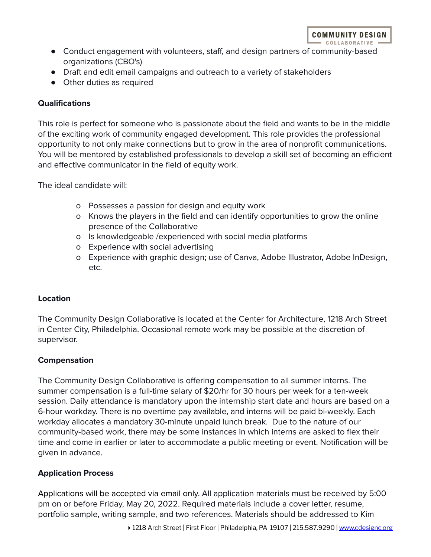- Conduct engagement with volunteers, staff, and design partners of community-based organizations (CBO's)
- Draft and edit email campaigns and outreach to a variety of stakeholders
- Other duties as required

## **Qualifications**

This role is perfect for someone who is passionate about the field and wants to be in the middle of the exciting work of community engaged development. This role provides the professional opportunity to not only make connections but to grow in the area of nonprofit communications. You will be mentored by established professionals to develop a skill set of becoming an efficient and effective communicator in the field of equity work.

The ideal candidate will:

- o Possesses a passion for design and equity work
- o Knows the players in the field and can identify opportunities to grow the online presence of the Collaborative
- o Is knowledgeable /experienced with social media platforms
- o Experience with social advertising
- o Experience with graphic design; use of Canva, Adobe Illustrator, Adobe InDesign, etc.

## **Location**

The Community Design Collaborative is located at the Center for Architecture, 1218 Arch Street in Center City, Philadelphia. Occasional remote work may be possible at the discretion of supervisor.

## **Compensation**

The Community Design Collaborative is offering compensation to all summer interns. The summer compensation is a full-time salary of \$20/hr for 30 hours per week for a ten-week session. Daily attendance is mandatory upon the internship start date and hours are based on a 6-hour workday. There is no overtime pay available, and interns will be paid bi-weekly. Each workday allocates a mandatory 30-minute unpaid lunch break. Due to the nature of our community-based work, there may be some instances in which interns are asked to flex their time and come in earlier or later to accommodate a public meeting or event. Notification will be given in advance.

# **Application Process**

Applications will be accepted via email only. All application materials must be received by 5:00 pm on or before Friday, May 20, 2022. Required materials include a cover letter, resume, portfolio sample, writing sample, and two references. Materials should be addressed to Kim